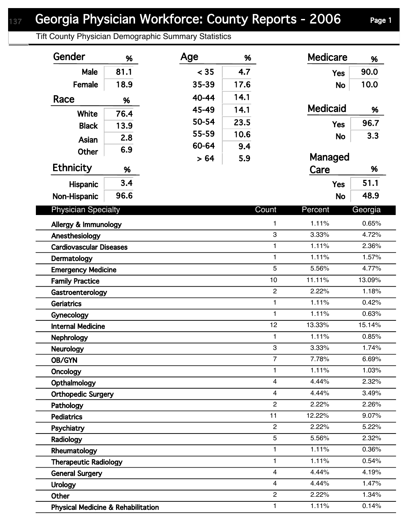Tift County Physician Demographic Summary Statistics

| Gender                                                        | %    | Age   | %    |                  | <b>Medicare</b> | %       |
|---------------------------------------------------------------|------|-------|------|------------------|-----------------|---------|
| Male                                                          | 81.1 | < 35  | 4.7  |                  | <b>Yes</b>      | 90.0    |
| Female                                                        | 18.9 | 35-39 | 17.6 |                  | <b>No</b>       | 10.0    |
| Race                                                          | %    | 40-44 | 14.1 |                  |                 |         |
|                                                               |      | 45-49 | 14.1 |                  | <b>Medicaid</b> | %       |
| White                                                         | 76.4 | 50-54 | 23.5 |                  |                 | 96.7    |
| <b>Black</b>                                                  | 13.9 | 55-59 | 10.6 |                  | <b>Yes</b>      |         |
| Asian                                                         | 2.8  | 60-64 | 9.4  |                  | <b>No</b>       | 3.3     |
| <b>Other</b>                                                  | 6.9  |       |      |                  | Managed         |         |
| <b>Ethnicity</b>                                              | %    | > 64  | 5.9  |                  | Care            | %       |
| Hispanic                                                      | 3.4  |       |      |                  | <b>Yes</b>      | 51.1    |
| Non-Hispanic                                                  | 96.6 |       |      |                  | <b>No</b>       | 48.9    |
|                                                               |      |       |      |                  |                 |         |
| <b>Physician Specialty</b>                                    |      |       |      | Count            | Percent         | Georgia |
| Allergy & Immunology                                          |      |       |      | $\mathbf{1}$     | 1.11%           | 0.65%   |
| 3<br>Anesthesiology                                           |      |       |      | 3.33%            | 4.72%           |         |
| 1<br><b>Cardiovascular Diseases</b>                           |      |       |      | 1.11%            | 2.36%           |         |
| $\mathbf{1}$<br>Dermatology                                   |      |       |      | 1.11%            | 1.57%           |         |
| 5<br><b>Emergency Medicine</b>                                |      |       |      | 5.56%            | 4.77%           |         |
| <b>Family Practice</b>                                        |      |       |      | 10               | 11.11%          | 13.09%  |
| Gastroenterology                                              |      |       |      | $\boldsymbol{2}$ | 2.22%           | 1.18%   |
| <b>Geriatrics</b>                                             |      |       |      | $\mathbf{1}$     | 1.11%           | 0.42%   |
| Gynecology                                                    |      |       |      | $\mathbf{1}$     | 1.11%           | 0.63%   |
| <b>Internal Medicine</b>                                      |      |       |      | 12               | 13.33%          | 15.14%  |
| <b>Nephrology</b>                                             |      |       |      | $\mathbf{1}$     | 1.11%           | 0.85%   |
| <b>Neurology</b>                                              |      |       |      | 3                | 3.33%           | 1.74%   |
| OB/GYN                                                        |      |       |      | $\overline{7}$   | 7.78%           | 6.69%   |
| Oncology                                                      |      |       |      | 1                | 1.11%           | 1.03%   |
| $\overline{4}$<br>Opthalmology                                |      |       |      | 4.44%            | 2.32%           |         |
| 4<br><b>Orthopedic Surgery</b>                                |      |       |      | 4.44%            | 3.49%           |         |
| Pathology                                                     |      |       |      | $\overline{2}$   | 2.22%           | 2.26%   |
| <b>Pediatrics</b>                                             |      |       |      | 11               | 12.22%          | 9.07%   |
| Psychiatry                                                    |      |       |      | $\overline{c}$   | 2.22%           | 5.22%   |
| Radiology                                                     |      |       |      | 5                | 5.56%           | 2.32%   |
| 1<br>Rheumatology                                             |      |       |      | 1.11%            | 0.36%           |         |
| 1<br><b>Therapeutic Radiology</b>                             |      |       |      | 1.11%            | 0.54%           |         |
| $\overline{\mathbf{4}}$<br><b>General Surgery</b>             |      |       |      | 4.44%            | 4.19%           |         |
| <b>Urology</b>                                                |      |       |      | $\overline{4}$   | 4.44%           | 1.47%   |
| Other                                                         |      |       |      | $\overline{c}$   | 2.22%           | 1.34%   |
| $\mathbf{1}$<br><b>Physical Medicine &amp; Rehabilitation</b> |      |       |      |                  | 1.11%           | 0.14%   |